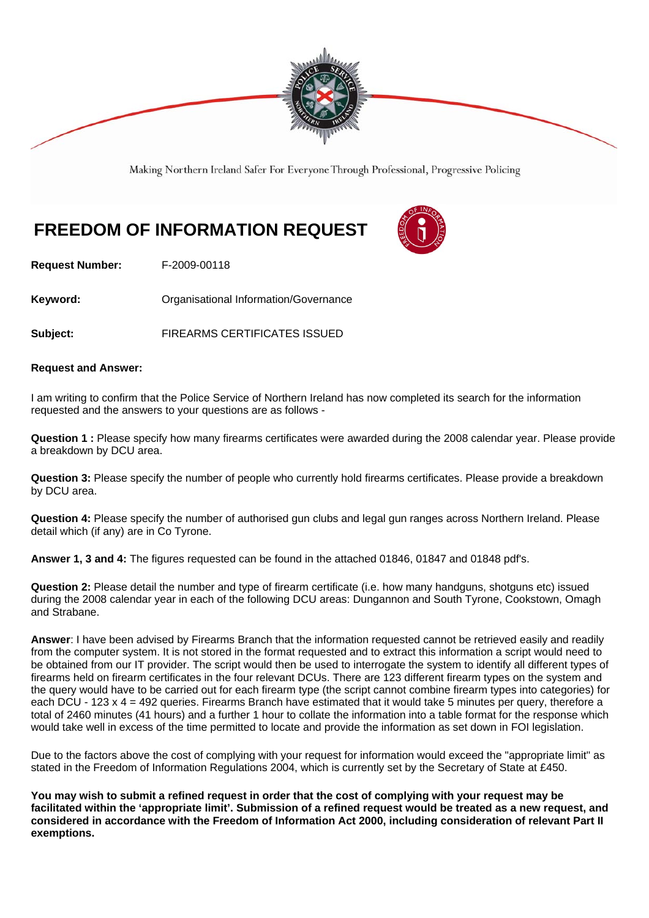

Making Northern Ireland Safer For Everyone Through Professional, Progressive Policing

# **FREEDOM OF INFORMATION REQUEST**



**Request Number:** F-2009-00118

**Keyword: C**rganisational Information/Governance

**Subject:** FIREARMS CERTIFICATES ISSUED

#### **Request and Answer:**

I am writing to confirm that the Police Service of Northern Ireland has now completed its search for the information requested and the answers to your questions are as follows -

**Question 1 :** Please specify how many firearms certificates were awarded during the 2008 calendar year. Please provide a breakdown by DCU area.

**Question 3:** Please specify the number of people who currently hold firearms certificates. Please provide a breakdown by DCU area.

**Question 4:** Please specify the number of authorised gun clubs and legal gun ranges across Northern Ireland. Please detail which (if any) are in Co Tyrone.

**Answer 1, 3 and 4:** The figures requested can be found in the attached 01846, 01847 and 01848 pdf's.

**Question 2:** Please detail the number and type of firearm certificate (i.e. how many handguns, shotguns etc) issued during the 2008 calendar year in each of the following DCU areas: Dungannon and South Tyrone, Cookstown, Omagh and Strabane.

**Answer**: I have been advised by Firearms Branch that the information requested cannot be retrieved easily and readily from the computer system. It is not stored in the format requested and to extract this information a script would need to be obtained from our IT provider. The script would then be used to interrogate the system to identify all different types of firearms held on firearm certificates in the four relevant DCUs. There are 123 different firearm types on the system and the query would have to be carried out for each firearm type (the script cannot combine firearm types into categories) for each DCU - 123 x 4 = 492 queries. Firearms Branch have estimated that it would take 5 minutes per query, therefore a total of 2460 minutes (41 hours) and a further 1 hour to collate the information into a table format for the response which would take well in excess of the time permitted to locate and provide the information as set down in FOI legislation.

Due to the factors above the cost of complying with your request for information would exceed the "appropriate limit" as stated in the Freedom of Information Regulations 2004, which is currently set by the Secretary of State at £450.

**You may wish to submit a refined request in order that the cost of complying with your request may be facilitated within the 'appropriate limit'. Submission of a refined request would be treated as a new request, and considered in accordance with the Freedom of Information Act 2000, including consideration of relevant Part II exemptions.**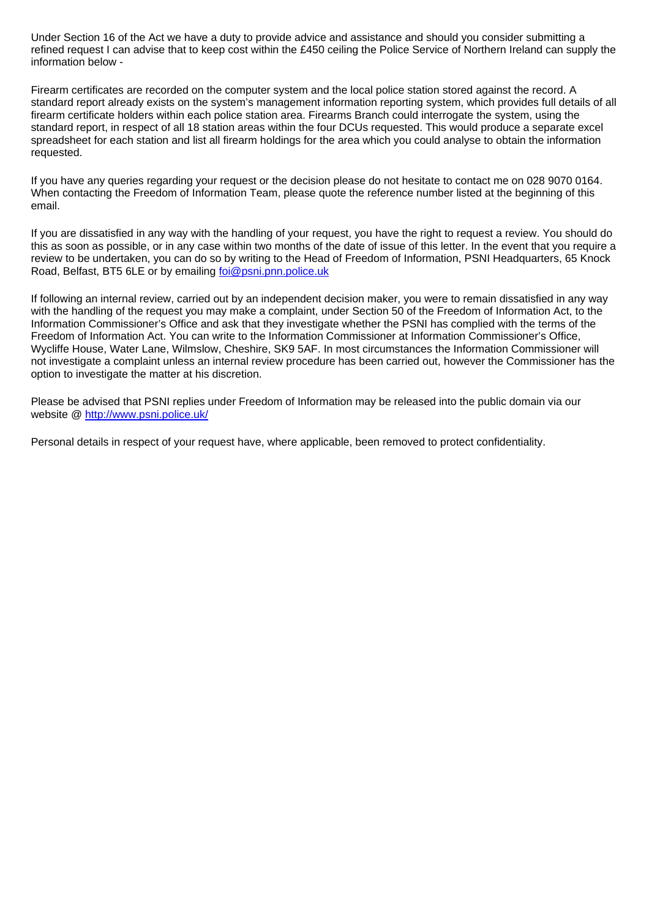Under Section 16 of the Act we have a duty to provide advice and assistance and should you consider submitting a refined request I can advise that to keep cost within the £450 ceiling the Police Service of Northern Ireland can supply the information below -

Firearm certificates are recorded on the computer system and the local police station stored against the record. A standard report already exists on the system's management information reporting system, which provides full details of all firearm certificate holders within each police station area. Firearms Branch could interrogate the system, using the standard report, in respect of all 18 station areas within the four DCUs requested. This would produce a separate excel spreadsheet for each station and list all firearm holdings for the area which you could analyse to obtain the information requested.

If you have any queries regarding your request or the decision please do not hesitate to contact me on 028 9070 0164. When contacting the Freedom of Information Team, please quote the reference number listed at the beginning of this email.

If you are dissatisfied in any way with the handling of your request, you have the right to request a review. You should do this as soon as possible, or in any case within two months of the date of issue of this letter. In the event that you require a review to be undertaken, you can do so by writing to the Head of Freedom of Information, PSNI Headquarters, 65 Knock Road, Belfast, BT5 6LE or by emailing foi@psni.pnn.police.uk

If following an internal review, carried out by an independent decision maker, you were to remain dissatisfied in any way with the handling of the request you may make a complaint, under Section 50 of the Freedom of Information Act, to the Information Commissioner's Office and ask that they investigate whether the PSNI has complied with the terms of the Freedom of Information Act. You can write to the Information Commissioner at Information Commissioner's Office, Wycliffe House, Water Lane, Wilmslow, Cheshire, SK9 5AF. In most circumstances the Information Commissioner will not investigate a complaint unless an internal review procedure has been carried out, however the Commissioner has the option to investigate the matter at his discretion.

Please be advised that PSNI replies under Freedom of Information may be released into the public domain via our website @ http://www.psni.police.uk/

Personal details in respect of your request have, where applicable, been removed to protect confidentiality.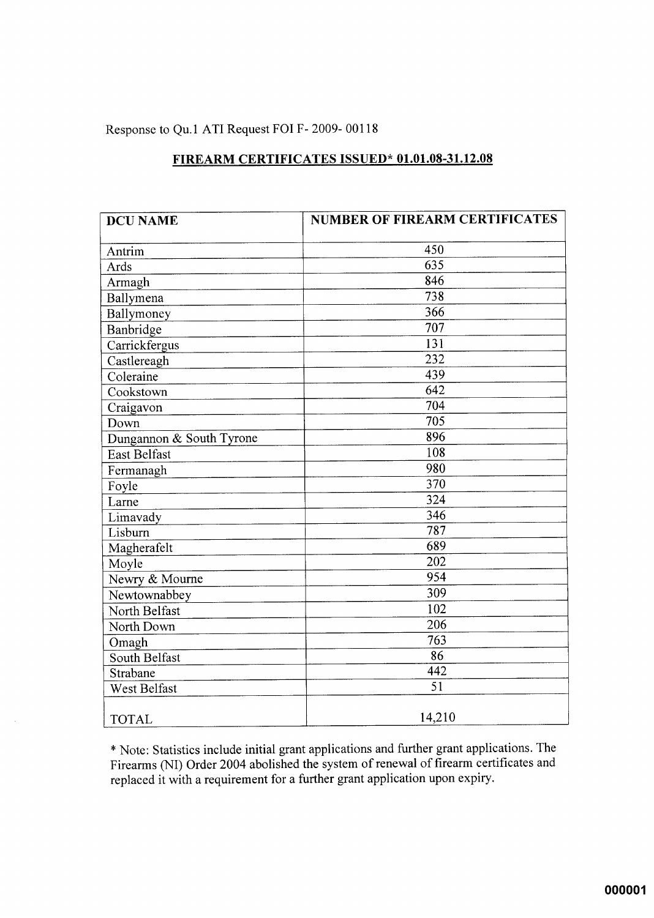#### Response to Qu.1 ATI Request FOI F-2009-00118

| <b>DCU NAME</b>          | <b>NUMBER OF FIREARM CERTIFICATES</b> |
|--------------------------|---------------------------------------|
| Antrim                   | 450                                   |
| Ards                     | 635                                   |
| Armagh                   | 846                                   |
| Ballymena                | $\overline{738}$                      |
| Ballymoney               | 366                                   |
| Banbridge                | 707                                   |
| Carrickfergus            | 131                                   |
| Castlereagh              | 232                                   |
| Coleraine                | 439                                   |
| Cookstown                | 642                                   |
| Craigavon                | 704                                   |
| Down                     | 705                                   |
| Dungannon & South Tyrone | 896                                   |
| East Belfast             | 108                                   |
| Fermanagh                | 980                                   |
| Foyle                    | 370                                   |
| Larne                    | 324                                   |
| Limavady                 | 346                                   |
| Lisburn                  | 787                                   |
| Magherafelt              | 689                                   |
| Moyle                    | 202                                   |
| Newry & Mourne           | 954                                   |
| Newtownabbey             | 309                                   |
| North Belfast            | 102                                   |
| North Down               | 206                                   |
| Omagh                    | 763                                   |
| South Belfast            | 86                                    |
| Strabane                 | 442                                   |
| West Belfast             | 51                                    |
| <b>TOTAL</b>             | 14,210                                |

## FIREARM CERTIFICATES ISSUED\* 01.01.08-31.12.08

\* Note: Statistics include initial grant applications and further grant applications. The Firearms (NI) Order 2004 abolished the system of renewal of firearm certificates and replaced it with a requirement for a further grant application upon expiry.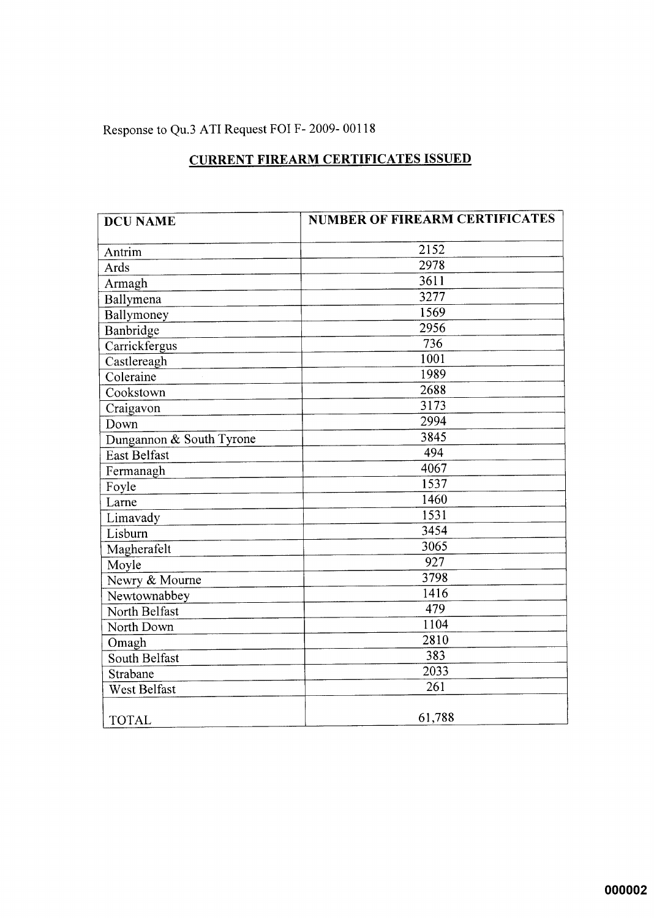## Response to Qu.3 ATI Request FOI F-2009-00118

## **CURRENT FIREARM CERTIFICATES ISSUED**

| <b>DCU NAME</b>          | <b>NUMBER OF FIREARM CERTIFICATES</b> |
|--------------------------|---------------------------------------|
| Antrim                   | 2152                                  |
| Ards                     | 2978                                  |
| Armagh                   | 3611                                  |
| Ballymena                | 3277                                  |
| Ballymoney               | 1569                                  |
| Banbridge                | 2956                                  |
| Carrickfergus            | $\overline{736}$                      |
| Castlereagh              | 1001                                  |
| Coleraine                | 1989                                  |
| Cookstown                | 2688                                  |
| Craigavon                | 3173                                  |
| Down                     | 2994                                  |
| Dungannon & South Tyrone | 3845                                  |
| East Belfast             | 494                                   |
| Fermanagh                | 4067                                  |
| Foyle                    | 1537                                  |
| Larne                    | 1460                                  |
| Limavady                 | 1531                                  |
| Lisburn                  | 3454                                  |
| Magherafelt              | 3065                                  |
| Moyle                    | 927                                   |
| Newry & Mourne           | 3798                                  |
| Newtownabbey             | 1416                                  |
| North Belfast            | 479                                   |
| North Down               | 1104                                  |
| Omagh                    | 2810                                  |
| South Belfast            | 383                                   |
| Strabane                 | 2033                                  |
| <b>West Belfast</b>      | 261                                   |
| <b>TOTAL</b>             | 61,788                                |